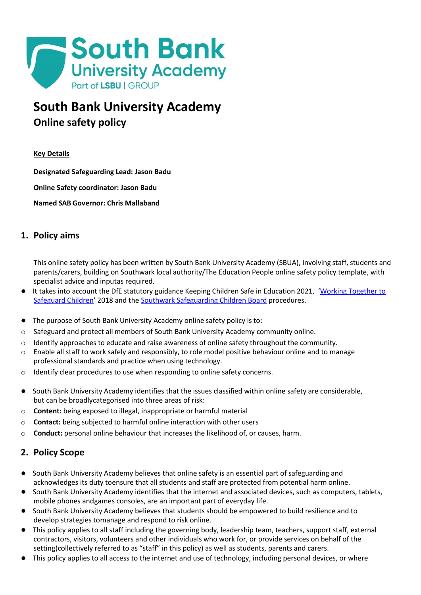

# **South Bank University Academy Online safety policy**

# **Key Details**

**Designated Safeguarding Lead: Jason Badu**

**Online Safety coordinator: Jason Badu**

**Named SAB Governor: Chris Mallaband**

# **1. Policy aims**

This online safety policy has been written by South Bank University Academy (SBUA), involving staff, students and parents/carers, building on Southwark local authority/The Education People online safety policy template, with specialist advice and inputas required.

- **●** It takes into account the DfE statutory guidance Keeping Children Safe in Education 2021, '[Working Together to](https://www.gov.uk/government/publications/working-together-to-safeguard-children--2) [Safeguard](https://www.gov.uk/government/publications/working-together-to-safeguard-children--2) Children' 2018 and the Southwark Safeguarding [Children Board](http://schools.southwark.gov.uk/safeguarding/policies-and-procedures) procedures.
- **●** The purpose of South Bank University Academy online safety policy is to:
- o Safeguard and protect all members of South Bank University Academy community online.
- $\circ$  Identify approaches to educate and raise awareness of online safety throughout the community.
- $\circ$  Enable all staff to work safely and responsibly, to role model positive behaviour online and to manage professional standards and practice when using technology.
- o Identify clear procedures to use when responding to online safety concerns.
- **●** South Bank University Academy identifies that the issues classified within online safety are considerable, but can be broadlycategorised into three areas of risk:
- o **Content:** being exposed to illegal, inappropriate or harmful material
- o **Contact:** being subjected to harmful online interaction with other users
- o **Conduct:** personal online behaviour that increases the likelihood of, or causes, harm.

# **2. Policy Scope**

- **●** South Bank University Academy believes that online safety is an essential part of safeguarding and acknowledges its duty toensure that all students and staff are protected from potential harm online.
- **●** South Bank University Academy identifies that the internet and associated devices, such as computers, tablets, mobile phones andgames consoles, are an important part of everyday life.
- **●** South Bank University Academy believes that students should be empowered to build resilience and to develop strategies tomanage and respond to risk online.
- **●** This policy applies to all staff including the governing body, leadership team, teachers, support staff, external contractors, visitors, volunteers and other individuals who work for, or provide services on behalf of the setting(collectively referred to as "staff" in this policy) as well as students, parents and carers.
- **●** This policy applies to all access to the internet and use of technology, including personal devices, or where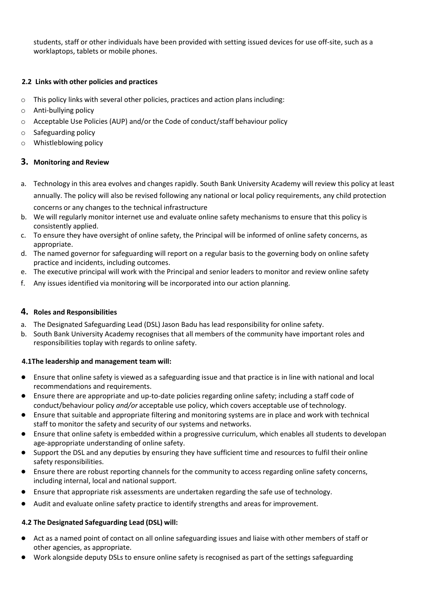students, staff or other individuals have been provided with setting issued devices for use off-site, such as a worklaptops, tablets or mobile phones.

# **2.2 Links with other policies and practices**

- o This policy links with several other policies, practices and action plans including:
- o Anti-bullying policy
- o Acceptable Use Policies (AUP) and/or the Code of conduct/staff behaviour policy
- o Safeguarding policy
- o Whistleblowing policy

# **3. Monitoring and Review**

- a. Technology in this area evolves and changes rapidly. South Bank University Academy will review this policy at least annually. The policy will also be revised following any national or local policy requirements, any child protection concerns or any changes to the technical infrastructure
- b. We will regularly monitor internet use and evaluate online safety mechanisms to ensure that this policy is consistently applied.
- c. To ensure they have oversight of online safety, the Principal will be informed of online safety concerns, as appropriate.
- d. The named governor for safeguarding will report on a regular basis to the governing body on online safety practice and incidents, including outcomes.
- e. The executive principal will work with the Principal and senior leaders to monitor and review online safety
- f. Any issues identified via monitoring will be incorporated into our action planning.

# **4. Roles and Responsibilities**

- a. The Designated Safeguarding Lead (DSL) Jason Badu has lead responsibility for online safety.
- b. South Bank University Academy recognises that all members of the community have important roles and responsibilities toplay with regards to online safety.

# **4.1The leadership and management team will:**

- Ensure that online safety is viewed as a safeguarding issue and that practice is in line with national and local recommendations and requirements.
- Ensure there are appropriate and up-to-date policies regarding online safety; including a staff code of conduct/behaviour policy *and/or* acceptable use policy, which covers acceptable use of technology.
- Ensure that suitable and appropriate filtering and monitoring systems are in place and work with technical staff to monitor the safety and security of our systems and networks.
- Ensure that online safety is embedded within a progressive curriculum, which enables all students to developan age-appropriate understanding of online safety.
- Support the DSL and any deputies by ensuring they have sufficient time and resources to fulfil their online safety responsibilities.
- Ensure there are robust reporting channels for the community to access regarding online safety concerns, including internal, local and national support.
- Ensure that appropriate risk assessments are undertaken regarding the safe use of technology.
- Audit and evaluate online safety practice to identify strengths and areas for improvement.

# **4.2 The Designated Safeguarding Lead (DSL) will:**

- Act as a named point of contact on all online safeguarding issues and liaise with other members of staff or other agencies, as appropriate.
- Work alongside deputy DSLs to ensure online safety is recognised as part of the settings safeguarding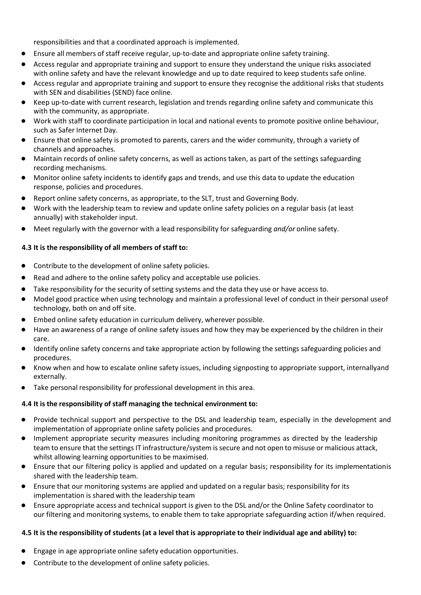responsibilities and that a coordinated approach is implemented.

- Ensure all members of staff receive regular, up-to-date and appropriate online safety training.
- Access regular and appropriate training and support to ensure they understand the unique risks associated with online safety and have the relevant knowledge and up to date required to keep students safe online.
- Access regular and appropriate training and support to ensure they recognise the additional risks that students with SEN and disabilities (SEND) face online.
- Keep up-to-date with current research, legislation and trends regarding online safety and communicate this with the community, as appropriate.
- Work with staff to coordinate participation in local and national events to promote positive online behaviour, such as Safer Internet Day.
- Ensure that online safety is promoted to parents, carers and the wider community, through a variety of channels and approaches.
- Maintain records of online safety concerns, as well as actions taken, as part of the settings safeguarding recording mechanisms.
- Monitor online safety incidents to identify gaps and trends, and use this data to update the education response, policies and procedures.
- Report online safety concerns, as appropriate, to the SLT, trust and Governing Body.
- Work with the leadership team to review and update online safety policies on a regular basis (at least annually) with stakeholder input.
- Meet regularly with the governor with a lead responsibility for safeguarding *and/or* online safety.

# **4.3 It is the responsibility of all members of staff to:**

- Contribute to the development of online safety policies.
- Read and adhere to the online safety policy and acceptable use policies.
- Take responsibility for the security of setting systems and the data they use or have access to.
- Model good practice when using technology and maintain a professional level of conduct in their personal useof technology, both on and off site.
- Embed online safety education in curriculum delivery, wherever possible.
- Have an awareness of a range of online safety issues and how they may be experienced by the children in their care.
- Identify online safety concerns and take appropriate action by following the settings safeguarding policies and procedures.
- Know when and how to escalate online safety issues, including signposting to appropriate support, internallyand externally.
- Take personal responsibility for professional development in this area.

#### **4.4 It is the responsibility ofstaff managing the technical environment to:**

- Provide technical support and perspective to the DSL and leadership team, especially in the development and implementation of appropriate online safety policies and procedures.
- Implement appropriate security measures including monitoring programmes as directed by the leadership team to ensure that the settings IT infrastructure/system is secure and not open to misuse or malicious attack, whilst allowing learning opportunities to be maximised.
- Ensure that our filtering policy is applied and updated on a regular basis; responsibility for its implementationis shared with the leadership team.
- Ensure that our monitoring systems are applied and updated on a regular basis; responsibility for its implementation is shared with the leadership team
- Ensure appropriate access and technical support is given to the DSL and/or the Online Safety coordinator to our filtering and monitoring systems, to enable them to take appropriate safeguarding action if/when required.

# 4.5 It is the responsibility of students (at a level that is appropriate to their individual age and ability) to:

- Engage in age appropriate online safety education opportunities.
- Contribute to the development of online safety policies.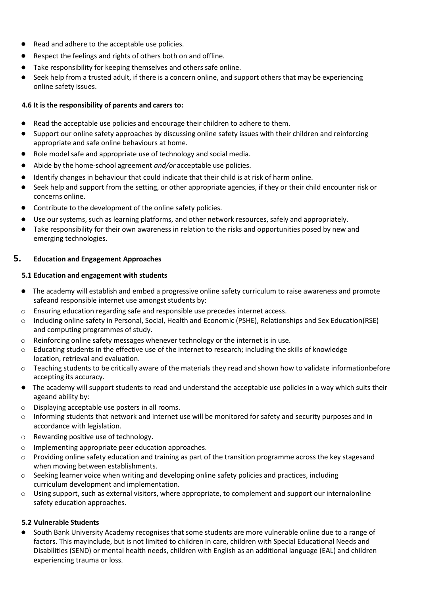- Read and adhere to the acceptable use policies.
- Respect the feelings and rights of others both on and offline.
- Take responsibility for keeping themselves and others safe online.
- Seek help from a trusted adult, if there is a concern online, and support others that may be experiencing online safety issues.

#### **4.6 It is the responsibility of parents and carers to:**

- Read the acceptable use policies and encourage their children to adhere to them.
- Support our online safety approaches by discussing online safety issues with their children and reinforcing appropriate and safe online behaviours at home.
- Role model safe and appropriate use of technology and social media.
- Abide by the home-school agreement *and/or* acceptable use policies.
- Identify changes in behaviour that could indicate that their child is at risk of harm online.
- Seek help and support from the setting, or other appropriate agencies, if they or their child encounter risk or concerns online.
- Contribute to the development of the online safety policies.
- Use our systems, such as learning platforms, and other network resources, safely and appropriately.
- Take responsibility for their own awareness in relation to the risks and opportunities posed by new and emerging technologies.

# **5. Education and Engagement Approaches**

# **5.1 Education and engagement with students**

- **●** The academy will establish and embed a progressive online safety curriculum to raise awareness and promote safeand responsible internet use amongst students by:
- $\circ$  Ensuring education regarding safe and responsible use precedes internet access.
- o Including online safety in Personal, Social, Health and Economic (PSHE), Relationships and Sex Education(RSE) and computing programmes of study.
- $\circ$  Reinforcing online safety messages whenever technology or the internet is in use.
- o Educating students in the effective use of the internet to research; including the skills of knowledge location, retrieval and evaluation.
- $\circ$  Teaching students to be critically aware of the materials they read and shown how to validate informationbefore accepting its accuracy.
- **●** The academy will support students to read and understand the acceptable use policies in a way which suits their ageand ability by:
- o Displaying acceptable use posters in all rooms.
- $\circ$  Informing students that network and internet use will be monitored for safety and security purposes and in accordance with legislation.
- o Rewarding positive use of technology.
- o Implementing appropriate peer education approaches.
- o Providing online safety education and training as part of the transition programme across the key stagesand when moving between establishments.
- o Seeking learner voice when writing and developing online safety policies and practices, including curriculum development and implementation.
- $\circ$  Using support, such as external visitors, where appropriate, to complement and support our internalonline safety education approaches.

# **5.2 Vulnerable Students**

**●** South Bank University Academy recognises that some students are more vulnerable online due to a range of factors. This mayinclude, but is not limited to children in care, children with Special Educational Needs and Disabilities (SEND) or mental health needs, children with English as an additional language (EAL) and children experiencing trauma or loss.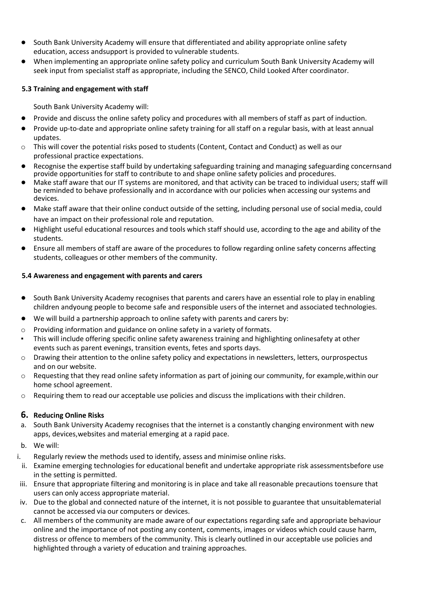- **●** South Bank University Academy will ensure that differentiated and ability appropriate online safety education, access andsupport is provided to vulnerable students.
- **●** When implementing an appropriate online safety policy and curriculum South Bank University Academy will seek input from specialist staff as appropriate, including the SENCO, Child Looked After coordinator.

#### **5.3 Training and engagement with staff**

South Bank University Academy will:

- **●** Provide and discuss the online safety policy and procedures with all members of staff as part of induction.
- **●** Provide up-to-date and appropriate online safety training for all staff on a regular basis, with at least annual updates.
- $\circ$  This will cover the potential risks posed to students (Content, Contact and Conduct) as well as our professional practice expectations.
- **●** Recognise the expertise staff build by undertaking safeguarding training and managing safeguarding concernsand provide opportunities for staff to contribute to and shape online safety policies and procedures.
- **●** Make staff aware that our IT systems are monitored, and that activity can be traced to individual users; staff will be reminded to behave professionally and in accordance with our policies when accessing our systems and devices.
- **●** Make staff aware that their online conduct outside of the setting, including personal use of social media, could have an impact on their professional role and reputation.
- **●** Highlight useful educational resources and tools which staff should use, according to the age and ability of the students.
- **●** Ensure all members of staff are aware of the procedures to follow regarding online safety concerns affecting students, colleagues or other members of the community.

# **5.4 Awareness and engagement with parents and carers**

- **●** South Bank University Academy recognises that parents and carers have an essential role to play in enabling children andyoung people to become safe and responsible users of the internet and associated technologies.
- We will build a partnership approach to online safety with parents and carers by:
- $\circ$  Providing information and guidance on online safety in a variety of formats.
- This will include offering specific online safety awareness training and highlighting onlinesafety at other events such as parent evenings, transition events, fetes and sports days.
- o Drawing their attention to the online safety policy and expectations in newsletters, letters, ourprospectus and on our website.
- o Requesting that they read online safety information as part of joining our community, for example,within our home school agreement.
- $\circ$  Requiring them to read our acceptable use policies and discuss the implications with their children.

# **6. Reducing Online Risks**

- a. South Bank University Academy recognises that the internet is a constantly changing environment with new apps, devices,websites and material emerging at a rapid pace.
- b. We will:
- i. Regularly review the methods used to identify, assess and minimise online risks.
- ii. Examine emerging technologies for educational benefit and undertake appropriate risk assessmentsbefore use in the setting is permitted.
- iii. Ensure that appropriate filtering and monitoring is in place and take all reasonable precautions toensure that users can only access appropriate material.
- iv. Due to the global and connected nature of the internet, it is not possible to guarantee that unsuitablematerial cannot be accessed via our computers or devices.
- c. All members of the community are made aware of our expectations regarding safe and appropriate behaviour online and the importance of not posting any content, comments, images or videos which could cause harm, distress or offence to members of the community. This is clearly outlined in our acceptable use policies and highlighted through a variety of education and training approaches.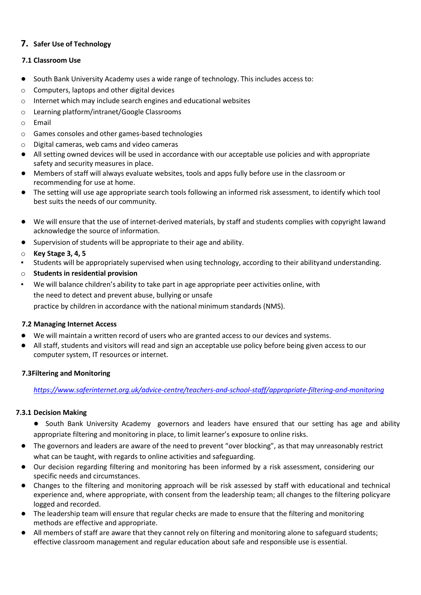# **7. Safer Use of Technology**

# **7.1 Classroom Use**

- **●** South Bank University Academy uses a wide range of technology. This includes access to:
- o Computers, laptops and other digital devices
- o Internet which may include search engines and educational websites
- o Learning platform/intranet/Google Classrooms
- o Email
- o Games consoles and other games-based technologies
- o Digital cameras, web cams and video cameras
- **●** All setting owned devices will be used in accordance with our acceptable use policies and with appropriate safety and security measures in place.
- **●** Members of staff will always evaluate websites, tools and apps fully before use in the classroom or recommending for use at home.
- **●** The setting will use age appropriate search tools following an informed risk assessment, to identify which tool best suits the needs of our community.
- **●** We will ensure that the use of internet-derived materials, by staff and students complies with copyright lawand acknowledge the source of information.
- **●** Supervision of students will be appropriate to their age and ability.
- o **Key Stage 3, 4, 5**
- Students will be appropriately supervised when using technology, according to their abilityand understanding.
- o **Students in residential provision**
- We will balance children's ability to take part in age appropriate peer activities online, with the need to detect and prevent abuse, bullying or unsafe practice by children in accordance with the national minimum standards (NMS).

# **7.2 Managing Internet Access**

- We will maintain a written record of users who are granted access to our devices and systems.
- **●** All staff, students and visitors will read and sign an acceptable use policy before being given access to our computer system, IT resources or internet.

# **7.3Filtering and Monitoring**

*<https://www.saferinternet.org.uk/advice-centre/teachers-and-school-staff/appropriate-filtering-and-monitoring>*

# **7.3.1 Decision Making**

- **●** South Bank University Academy governors and leaders have ensured that our setting has age and ability appropriate filtering and monitoring in place, to limit learner's exposure to online risks.
- **●** The governors and leaders are aware of the need to prevent "over blocking", as that may unreasonably restrict what can be taught, with regards to online activities and safeguarding.
- **●** Our decision regarding filtering and monitoring has been informed by a risk assessment, considering our specific needs and circumstances.
- **●** Changes to the filtering and monitoring approach will be risk assessed by staff with educational and technical experience and, where appropriate, with consent from the leadership team; all changes to the filtering policyare logged and recorded.
- **●** The leadership team will ensure that regular checks are made to ensure that the filtering and monitoring methods are effective and appropriate.
- **●** All members of staff are aware that they cannot rely on filtering and monitoring alone to safeguard students; effective classroom management and regular education about safe and responsible use is essential.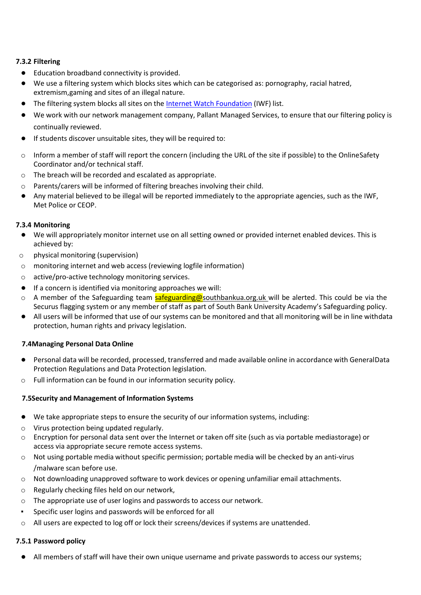# **7.3.2 Filtering**

- **●** Education broadband connectivity is provided.
- **●** We use a filtering system which blocks sites which can be categorised as: pornography, racial hatred, extremism,gaming and sites of an illegal nature.
- **●** The filtering system blocks all sites on the Internet Watch [Foundation](https://www.iwf.org.uk/) (IWF) list.
- **●** We work with our network management company, Pallant Managed Services, to ensure that our filtering policy is continually reviewed.
- **●** If students discover unsuitable sites, they will be required to:
- o Inform a member of staff will report the concern (including the URL of the site if possible) to the OnlineSafety Coordinator and/or technical staff.
- o The breach will be recorded and escalated as appropriate.
- o Parents/carers will be informed of filtering breaches involving their child.
- **●** Any material believed to be illegal will be reported immediately to the appropriate agencies, such as the IWF, Met Police or CEOP.

# **7.3.4 Monitoring**

- **●** We will appropriately monitor internet use on all setting owned or provided internet enabled devices. This is achieved by:
- o physical monitoring (supervision)
- o monitoring internet and web access (reviewing logfile information)
- o active/pro-active technology monitoring services.
- **●** If a concern is identified via monitoring approaches we will:
- A member of the Safeguarding team safeguarding@southbankua.org.uk will be alerted. This could be via the Securus flagging system or any member of staff as part of South Bank University Academy's Safeguarding policy.
- **●** All users will be informed that use of our systems can be monitored and that all monitoring will be in line withdata protection, human rights and privacy legislation.

# **7.4Managing Personal Data Online**

- **●** Personal data will be recorded, processed, transferred and made available online in accordance with GeneralData Protection Regulations and Data Protection legislation.
- Full information can be found in our information security policy.

# **7.5Security and Management of Information Systems**

- **●** We take appropriate steps to ensure the security of our information systems, including:
- o Virus protection being updated regularly.
- o Encryption for personal data sent over the Internet or taken off site (such as via portable mediastorage) or access via appropriate secure remote access systems.
- o Not using portable media without specific permission; portable media will be checked by an anti-virus /malware scan before use.
- o Not downloading unapproved software to work devices or opening unfamiliar email attachments.
- o Regularly checking files held on our network,
- $\circ$  The appropriate use of user logins and passwords to access our network.
- Specific user logins and passwords will be enforced for all
- o All users are expected to log off or lock their screens/devices if systems are unattended.

# **7.5.1 Password policy**

**●** All members of staff will have their own unique username and private passwords to access our systems;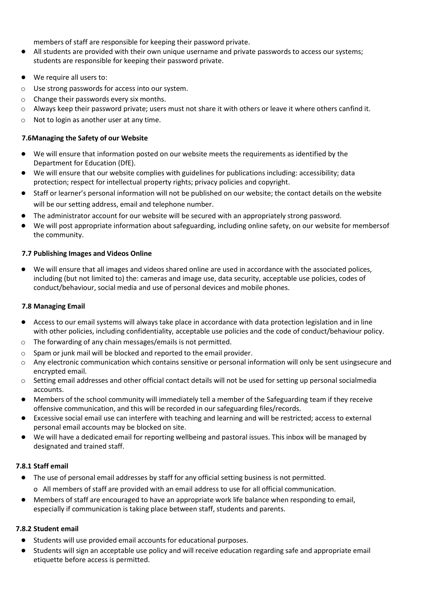members of staff are responsible for keeping their password private.

- **●** All students are provided with their own unique username and private passwords to access our systems; students are responsible for keeping their password private.
- **●** We require all users to:
- o Use strong passwords for access into our system.
- o Change their passwords every six months.
- $\circ$  Always keep their password private; users must not share it with others or leave it where others canfind it.
- o Not to login as another user at any time.

#### **7.6Managing the Safety of our Website**

- **●** We will ensure that information posted on our website meets the requirements as identified by the Department for Education (DfE).
- **●** We will ensure that our website complies with guidelines for publications including: accessibility; data protection; respect for intellectual property rights; privacy policies and copyright.
- **●** Staff or learner's personal information will not be published on our website; the contact details on the website will be our setting address, email and telephone number.
- **●** The administrator account for our website will be secured with an appropriately strong password.
- We will post appropriate information about safeguarding, including online safety, on our website for membersof the community.

#### **7.7 Publishing Images and Videos Online**

**●** We will ensure that all images and videos shared online are used in accordance with the associated polices, including (but not limited to) the: cameras and image use, data security, acceptable use policies, codes of conduct/behaviour, social media and use of personal devices and mobile phones.

#### **7.8 Managing Email**

- **●** Access to our email systems will always take place in accordance with data protection legislation and in line with other policies, including confidentiality, acceptable use policies and the code of conduct/behaviour policy.
- o The forwarding of any chain messages/emails is not permitted.
- o Spam or junk mail will be blocked and reported to the email provider.
- o Any electronic communication which contains sensitive or personal information will only be sent usingsecure and encrypted email.
- o Setting email addresses and other official contact details will not be used for setting up personal socialmedia accounts.
- **●** Members of the school community will immediately tell a member of the Safeguarding team if they receive offensive communication, and this will be recorded in our safeguarding files/records.
- **●** Excessive social email use can interfere with teaching and learning and will be restricted; access to external personal email accounts may be blocked on site.
- **●** We will have a dedicated email for reporting wellbeing and pastoral issues. This inbox will be managed by designated and trained staff.

#### **7.8.1 Staff email**

- **●** The use of personal email addresses by staff for any official setting business is not permitted.
	- o All members of staff are provided with an email address to use for all official communication.
- **●** Members of staff are encouraged to have an appropriate work life balance when responding to email, especially if communication is taking place between staff, students and parents.

# **7.8.2 Student email**

- **●** Students will use provided email accounts for educational purposes.
- **●** Students will sign an acceptable use policy and will receive education regarding safe and appropriate email etiquette before access is permitted.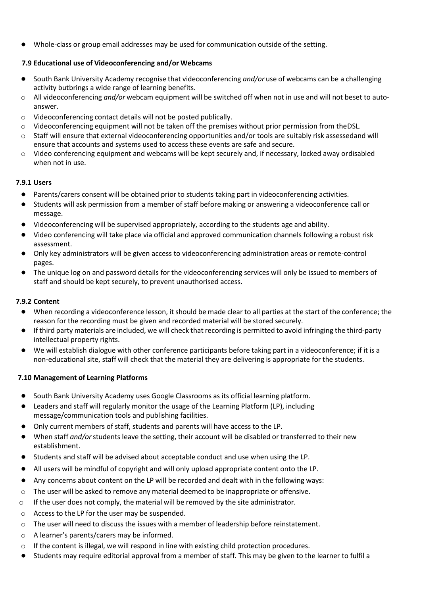**●** Whole-class or group email addresses may be used for communication outside of the setting.

# **7.9 Educational use of Videoconferencing and/or Webcams**

- **●** South Bank University Academy recognise that videoconferencing *and/or* use of webcams can be a challenging activity butbrings a wide range of learning benefits.
- o All videoconferencing *and/or* webcam equipment will be switched off when not in use and will not beset to autoanswer.
- o Videoconferencing contact details will not be posted publically.
- o Videoconferencing equipment will not be taken off the premises without prior permission from theDSL.
- $\circ$  Staff will ensure that external videoconferencing opportunities and/or tools are suitably risk assessedand will ensure that accounts and systems used to access these events are safe and secure.
- o Video conferencing equipment and webcams will be kept securely and, if necessary, locked away ordisabled when not in use.

# **7.9.1 Users**

- **●** Parents/carers consent will be obtained prior to students taking part in videoconferencing activities.
- **●** Students will ask permission from a member of staff before making or answering a videoconference call or message.
- **●** Videoconferencing will be supervised appropriately, according to the students age and ability.
- **●** Video conferencing will take place via official and approved communication channels following a robust risk assessment.
- **●** Only key administrators will be given access to videoconferencing administration areas or remote-control pages.
- **●** The unique log on and password details for the videoconferencing services will only be issued to members of staff and should be kept securely, to prevent unauthorised access.

# **7.9.2 Content**

- When recording a videoconference lesson, it should be made clear to all parties at the start of the conference; the reason for the recording must be given and recorded material will be stored securely.
- If third party materials are included, we will check that recording is permitted to avoid infringing the third-party intellectual property rights.
- We will establish dialogue with other conference participants before taking part in a videoconference; if it is a non-educational site, staff will check that the material they are delivering is appropriate for the students.

# **7.10 Management of Learning Platforms**

- **●** South Bank University Academy uses Google Classrooms as its official learning platform.
- **●** Leaders and staff will regularly monitor the usage of the Learning Platform (LP), including message/communication tools and publishing facilities.
- **●** Only current members of staff, students and parents will have access to the LP.
- When staff *and/or* students leave the setting, their account will be disabled or transferred to their new establishment.
- **●** Students and staff will be advised about acceptable conduct and use when using the LP.
- **●** All users will be mindful of copyright and will only upload appropriate content onto the LP.
- Any concerns about content on the LP will be recorded and dealt with in the following ways:
- $\circ$  The user will be asked to remove any material deemed to be inappropriate or offensive.
- $\circ$  If the user does not comply, the material will be removed by the site administrator.
- o Access to the LP for the user may be suspended.
- $\circ$  The user will need to discuss the issues with a member of leadership before reinstatement.
- o A learner's parents/carers may be informed.
- $\circ$  If the content is illegal, we will respond in line with existing child protection procedures.
- Students may require editorial approval from a member of staff. This may be given to the learner to fulfil a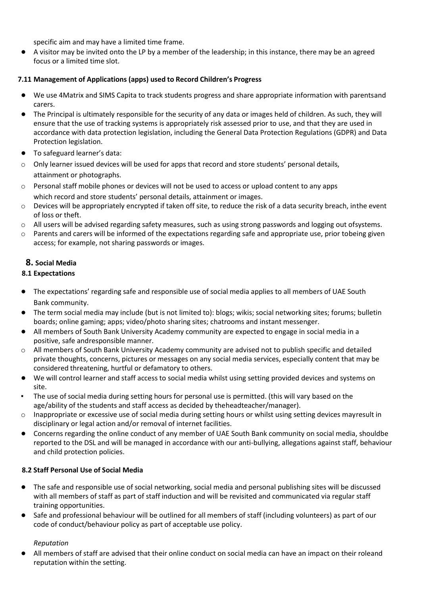specific aim and may have a limited time frame.

● A visitor may be invited onto the LP by a member of the leadership; in this instance, there may be an agreed focus or a limited time slot.

#### **7.11 Management of Applications (apps) used to Record Children's Progress**

- **●** We use 4Matrix and SIMS Capita to track students progress and share appropriate information with parentsand carers.
- **●** The Principal is ultimately responsible for the security of any data or images held of children. As such, they will ensure that the use of tracking systems is appropriately risk assessed prior to use, and that they are used in accordance with data protection legislation, including the General Data Protection Regulations (GDPR) and Data Protection legislation.
- **●** To safeguard learner's data:
- $\circ$  Only learner issued devices will be used for apps that record and store students' personal details, attainment or photographs.
- o Personal staff mobile phones or devices will not be used to access or upload content to any apps which record and store students' personal details, attainment or images.
- $\circ$  Devices will be appropriately encrypted if taken off site, to reduce the risk of a data security breach, inthe event of loss or theft.
- o All users will be advised regarding safety measures, such as using strong passwords and logging out ofsystems.
- o Parents and carers will be informed of the expectations regarding safe and appropriate use, prior tobeing given access; for example, not sharing passwords or images.

# **8. Social Media**

# **8.1 Expectations**

- **●** The expectations' regarding safe and responsible use of social media applies to all members of UAE South Bank community.
- **●** The term social media may include (but is not limited to): blogs; wikis; social networking sites; forums; bulletin boards; online gaming; apps; video/photo sharing sites; chatrooms and instant messenger.
- **●** All members of South Bank University Academy community are expected to engage in social media in a positive, safe andresponsible manner.
- o All members of South Bank University Academy community are advised not to publish specific and detailed private thoughts, concerns, pictures or messages on any social media services, especially content that may be considered threatening, hurtful or defamatory to others.
- **●** We will control learner and staff access to social media whilst using setting provided devices and systems on site.
- The use of social media during setting hours for personal use is permitted. (this will vary based on the age/ability of the students and staff access as decided by theheadteacher/manager).
- $\circ$  Inappropriate or excessive use of social media during setting hours or whilst using setting devices mayresult in disciplinary or legal action and/or removal of internet facilities.
- **●** Concerns regarding the online conduct of any member of UAE South Bank community on social media, shouldbe reported to the DSL and will be managed in accordance with our anti-bullying, allegations against staff, behaviour and child protection policies.

#### **8.2 Staff Personal Use of Social Media**

- **●** The safe and responsible use of social networking, social media and personal publishing sites will be discussed with all members of staff as part of staff induction and will be revisited and communicated via regular staff training opportunities.
- **●** Safe and professional behaviour will be outlined for all members of staff (including volunteers) as part of our code of conduct/behaviour policy as part of acceptable use policy.

#### *Reputation*

**●** All members of staff are advised that their online conduct on social media can have an impact on their roleand reputation within the setting.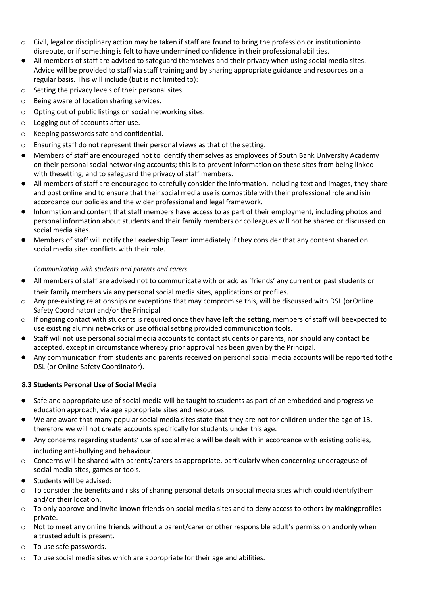- o Civil, legal or disciplinary action may be taken if staff are found to bring the profession or institutioninto disrepute, or if something is felt to have undermined confidence in their professional abilities.
- **●** All members of staff are advised to safeguard themselves and their privacy when using social media sites. Advice will be provided to staff via staff training and by sharing appropriate guidance and resources on a regular basis. This will include (but is not limited to):
- o Setting the privacy levels of their personal sites.
- o Being aware of location sharing services.
- o Opting out of public listings on social networking sites.
- o Logging out of accounts after use.
- o Keeping passwords safe and confidential.
- o Ensuring staff do not represent their personal views as that of the setting.
- **●** Members of staff are encouraged not to identify themselves as employees of South Bank University Academy on their personal social networking accounts; this is to prevent information on these sites from being linked with thesetting, and to safeguard the privacy of staff members.
- **●** All members of staff are encouraged to carefully consider the information, including text and images, they share and post online and to ensure that their social media use is compatible with their professional role and isin accordance our policies and the wider professional and legal framework.
- Information and content that staff members have access to as part of their employment, including photos and personal information about students and their family members or colleagues will not be shared or discussed on social media sites.
- **●** Members of staff will notify the Leadership Team immediately if they consider that any content shared on social media sites conflicts with their role.

#### *Communicating with students and parents and carers*

- **●** All members of staff are advised not to communicate with or add as 'friends' any current or past students or their family members via any personal social media sites, applications or profiles.
- o Any pre-existing relationships or exceptions that may compromise this, will be discussed with DSL (orOnline Safety Coordinator) and/or the Principal
- $\circ$  If ongoing contact with students is required once they have left the setting, members of staff will beexpected to use existing alumni networks or use official setting provided communication tools.
- **●** Staff will not use personal social media accounts to contact students or parents, nor should any contact be accepted, except in circumstance whereby prior approval has been given by the Principal.
- **●** Any communication from students and parents received on personal social media accounts will be reported tothe DSL (or Online Safety Coordinator).

#### **8.3 Students Personal Use of Social Media**

- **●** Safe and appropriate use of social media will be taught to students as part of an embedded and progressive education approach, via age appropriate sites and resources.
- We are aware that many popular social media sites state that they are not for children under the age of 13, therefore we will not create accounts specifically for students under this age.
- **●** Any concerns regarding students' use of social media will be dealt with in accordance with existing policies, including anti-bullying and behaviour.
- $\circ$  Concerns will be shared with parents/carers as appropriate, particularly when concerning underageuse of social media sites, games or tools.
- **●** Students will be advised:
- o To consider the benefits and risks of sharing personal details on social media sites which could identifythem and/or their location.
- $\circ$  To only approve and invite known friends on social media sites and to deny access to others by makingprofiles private.
- $\circ$  Not to meet any online friends without a parent/carer or other responsible adult's permission andonly when a trusted adult is present.
- o To use safe passwords.
- o To use social media sites which are appropriate for their age and abilities.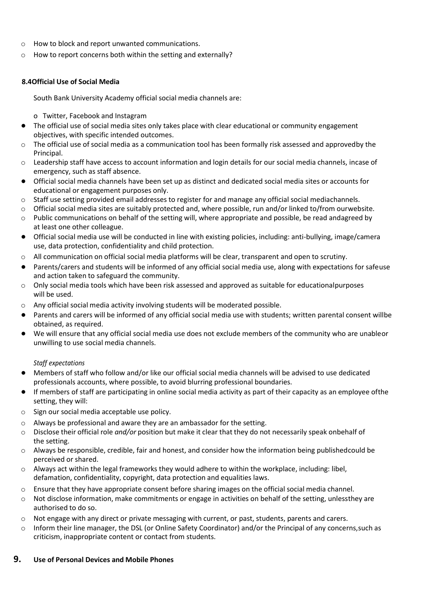- o How to block and report unwanted communications.
- o How to report concerns both within the setting and externally?

#### **8.4Official Use of Social Media**

South Bank University Academy official social media channels are:

- o Twitter, Facebook and Instagram
- **●** The official use of social media sites only takes place with clear educational or community engagement objectives, with specific intended outcomes.
- $\circ$  The official use of social media as a communication tool has been formally risk assessed and approvedby the Principal.
- o Leadership staff have access to account information and login details for our social media channels, incase of emergency, such as staff absence.
- **●** Official social media channels have been set up as distinct and dedicated social media sites or accounts for educational or engagement purposes only.
- $\circ$  Staff use setting provided email addresses to register for and manage any official social mediachannels.
- $\circ$  Official social media sites are suitably protected and, where possible, run and/or linked to/from ourwebsite.
- $\circ$  Public communications on behalf of the setting will, where appropriate and possible, be read andagreed by at least one other colleague.
- **●** Official social media use will be conducted in line with existing policies, including: anti-bullying, image/camera use, data protection, confidentiality and child protection.
- $\circ$  All communication on official social media platforms will be clear, transparent and open to scrutiny.
- **●** Parents/carers and students will be informed of any official social media use, along with expectations for safeuse and action taken to safeguard the community.
- $\circ$  Only social media tools which have been risk assessed and approved as suitable for educationalpurposes will be used.
- o Any official social media activity involving students will be moderated possible.
- **●** Parents and carers will be informed of any official social media use with students; written parental consent willbe obtained, as required.
- **●** We will ensure that any official social media use does not exclude members of the community who are unableor unwilling to use social media channels.

#### *Staff expectations*

- **●** Members of staff who follow and/or like our official social media channels will be advised to use dedicated professionals accounts, where possible, to avoid blurring professional boundaries.
- **●** If members of staff are participating in online social media activity as part of their capacity as an employee ofthe setting, they will:
- o Sign our social media acceptable use policy.
- o Always be professional and aware they are an ambassador for the setting.
- o Disclose their official role *and/or* position but make it clear that they do not necessarily speak onbehalf of the setting.
- o Always be responsible, credible, fair and honest, and consider how the information being publishedcould be perceived or shared.
- $\circ$  Always act within the legal frameworks they would adhere to within the workplace, including: libel, defamation, confidentiality, copyright, data protection and equalities laws.
- $\circ$  Ensure that they have appropriate consent before sharing images on the official social media channel.
- $\circ$  Not disclose information, make commitments or engage in activities on behalf of the setting, unlessthey are authorised to do so.
- $\circ$  Not engage with any direct or private messaging with current, or past, students, parents and carers.
- o Inform their line manager, the DSL (or Online Safety Coordinator) and/or the Principal of any concerns,such as criticism, inappropriate content or contact from students.

#### **9. Use of Personal Devices and Mobile Phones**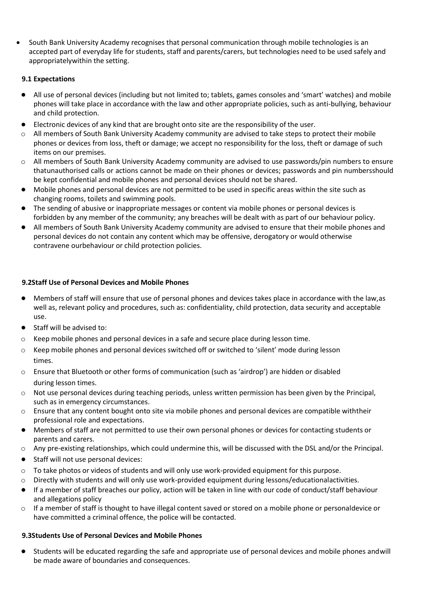• South Bank University Academy recognises that personal communication through mobile technologies is an accepted part of everyday life for students, staff and parents/carers, but technologies need to be used safely and appropriatelywithin the setting.

# **9.1 Expectations**

- **●** All use of personal devices (including but not limited to; tablets, games consoles and 'smart' watches) and mobile phones will take place in accordance with the law and other appropriate policies, such as anti-bullying, behaviour and child protection.
- Electronic devices of any kind that are brought onto site are the responsibility of the user.
- o All members of South Bank University Academy community are advised to take steps to protect their mobile phones or devices from loss, theft or damage; we accept no responsibility for the loss, theft or damage of such items on our premises.
- o All members of South Bank University Academy community are advised to use passwords/pin numbers to ensure thatunauthorised calls or actions cannot be made on their phones or devices; passwords and pin numbersshould be kept confidential and mobile phones and personal devices should not be shared.
- **●** Mobile phones and personal devices are not permitted to be used in specific areas within the site such as changing rooms, toilets and swimming pools.
- The sending of abusive or inappropriate messages or content via mobile phones or personal devices is forbidden by any member of the community; any breaches will be dealt with as part of our behaviour policy.
- **●** All members of South Bank University Academy community are advised to ensure that their mobile phones and personal devices do not contain any content which may be offensive, derogatory or would otherwise contravene ourbehaviour or child protection policies.

# **9.2Staff Use of Personal Devices and Mobile Phones**

- **●** Members of staff will ensure that use of personal phones and devices takes place in accordance with the law,as well as, relevant policy and procedures, such as: confidentiality, child protection, data security and acceptable use.
- **●** Staff will be advised to:
- $\circ$  Keep mobile phones and personal devices in a safe and secure place during lesson time.
- o Keep mobile phones and personal devices switched off or switched to 'silent' mode during lesson times.
- o Ensure that Bluetooth or other forms of communication (such as 'airdrop') are hidden or disabled during lesson times.
- $\circ$  Not use personal devices during teaching periods, unless written permission has been given by the Principal, such as in emergency circumstances.
- o Ensure that any content bought onto site via mobile phones and personal devices are compatible withtheir professional role and expectations.
- **●** Members of staff are not permitted to use their own personal phones or devices for contacting students or parents and carers.
- o Any pre-existing relationships, which could undermine this, will be discussed with the DSL and/or the Principal.
- **●** Staff will not use personal devices:
- o To take photos or videos of students and will only use work-provided equipment for this purpose.
- o Directly with students and will only use work-provided equipment during lessons/educationalactivities.
- **●** If a member of staff breaches our policy, action will be taken in line with our code of conduct/staff behaviour and allegations policy
- o If a member of staff is thought to have illegal content saved or stored on a mobile phone or personaldevice or have committed a criminal offence, the police will be contacted.

# **9.3Students Use of Personal Devices and Mobile Phones**

**●** Students will be educated regarding the safe and appropriate use of personal devices and mobile phones and will be made aware of boundaries and consequences.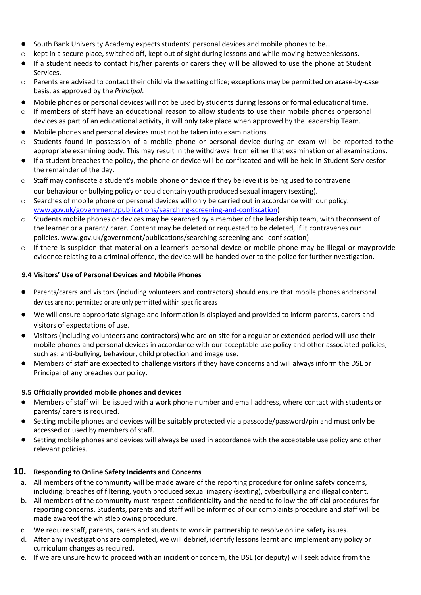- **●** South Bank University Academy expects students' personal devices and mobile phones to be…
- $\circ$  kept in a secure place, switched off, kept out of sight during lessons and while moving betweenlessons.
- **●** If a student needs to contact his/her parents or carers they will be allowed to use the phone at Student Services.
- $\circ$  Parents are advised to contact their child via the setting office; exceptions may be permitted on acase-by-case basis, as approved by the *Principal*.
- **●** Mobile phones or personal devices will not be used by students during lessons or formal educational time.
- o If members of staff have an educational reason to allow students to use their mobile phones orpersonal devices as part of an educational activity, it will only take place when approved by theLeadership Team.
- **●** Mobile phones and personal devices must not be taken into examinations.
- $\circ$  Students found in possession of a mobile phone or personal device during an exam will be reported to the appropriate examining body. This may result in the withdrawal from either that examination or allexaminations.
- **●** If a student breaches the policy, the phone or device will be confiscated and will be held in Student Servicesfor the remainder of the day.
- $\circ$  Staff may confiscate a student's mobile phone or device if they believe it is being used to contravene our behaviour or bullying policy or could contain youth produced sexual imagery (sexting).
- o Searches of mobile phone or personal devices will only be carried out in accordance with our policy. [www.gov.uk/government/publications/searching-screening-and-confiscation\)](http://www.gov.uk/government/publications/searching-screening-and-confiscation)
- $\circ$  Students mobile phones or devices may be searched by a member of the leadership team, with theconsent of the learner or a parent/ carer. Content may be deleted or requested to be deleted, if it contravenes our policies[. www.gov.uk/government/publications/searching-screening-and-](http://www.gov.uk/government/publications/searching-screening-and-confiscation) [confiscation\)](http://www.gov.uk/government/publications/searching-screening-and-confiscation)
- $\circ$  If there is suspicion that material on a learner's personal device or mobile phone may be illegal or mayprovide evidence relating to a criminal offence, the device will be handed over to the police for furtherinvestigation.

#### **9.4 Visitors' Use of Personal Devices and Mobile Phones**

- **●** Parents/carers and visitors (including volunteers and contractors) should ensure that mobile phones andpersonal devices are not permitted or are only permitted within specific areas
- **●** We will ensure appropriate signage and information is displayed and provided to inform parents, carers and visitors of expectations of use.
- **●** Visitors (including volunteers and contractors) who are on site for a regular or extended period will use their mobile phones and personal devices in accordance with our acceptable use policy and other associated policies, such as: anti-bullying, behaviour, child protection and image use.
- **●** Members of staff are expected to challenge visitors if they have concerns and will always inform the DSL or Principal of any breaches our policy.

#### **9.5 Officially provided mobile phones and devices**

- **●** Members of staff will be issued with a work phone number and email address, where contact with students or parents/ carers is required.
- **●** Setting mobile phones and devices will be suitably protected via a passcode/password/pin and must only be accessed or used by members of staff.
- **●** Setting mobile phones and devices will always be used in accordance with the acceptable use policy and other relevant policies.

# **10. Responding to Online Safety Incidents and Concerns**

- a. All members of the community will be made aware of the reporting procedure for online safety concerns, including: breaches of filtering, youth produced sexual imagery (sexting), cyberbullying and illegal content.
- b. All members of the community must respect confidentiality and the need to follow the official procedures for reporting concerns. Students, parents and staff will be informed of our complaints procedure and staff will be made awareof the whistleblowing procedure.
- c. We require staff, parents, carers and students to work in partnership to resolve online safety issues.
- d. After any investigations are completed, we will debrief, identify lessons learnt and implement any policy or curriculum changes as required.
- e. If we are unsure how to proceed with an incident or concern, the DSL (or deputy) will seek advice from the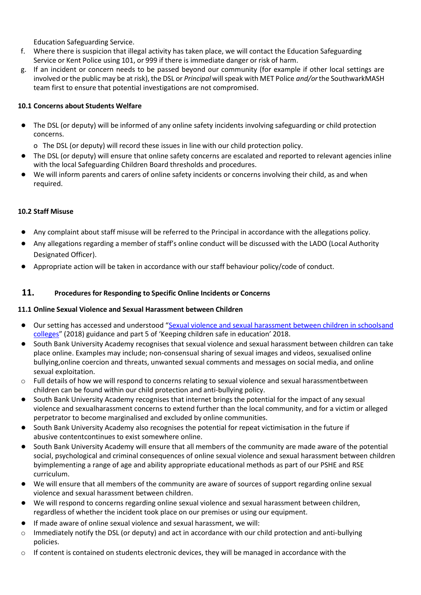Education Safeguarding Service.

- f. Where there is suspicion that illegal activity has taken place, we will contact the Education Safeguarding Service or Kent Police using 101, or 999 if there is immediate danger or risk of harm.
- g. If an incident or concern needs to be passed beyond our community (for example if other local settings are involved or the public may be at risk), the DSL or *Principal* willspeak with MET Police *and/or*the SouthwarkMASH team first to ensure that potential investigations are not compromised.

#### **10.1 Concerns about Students Welfare**

- **●** The DSL (or deputy) will be informed of any online safety incidents involving safeguarding or child protection concerns.
	- o The DSL (or deputy) will record these issues in line with our child protection policy.
- **●** The DSL (or deputy) will ensure that online safety concerns are escalated and reported to relevant agencies inline with the local Safeguarding Children Board thresholds and procedures.
- **●** We will inform parents and carers of online safety incidents or concerns involving their child, as and when required.

# **10.2 Staff Misuse**

- **●** Any complaint about staff misuse will be referred to the Principal in accordance with the allegations policy.
- **●** Any allegations regarding a member of staff's online conduct will be discussed with the LADO (Local Authority Designated Officer).
- **●** Appropriate action will be taken in accordance with our staff behaviour policy/code of conduct.

# **11. Procedures for Responding to Specific Online Incidents or Concerns**

#### **11.1 Online Sexual Violence and Sexual Harassment between Children**

- Our setting has accessed and understood "[Sexual violence and sexual harassment between children in schoolsand](https://www.gov.uk/government/publications/sexual-violence-and-sexual-harassment-between-children-in-schools-and-colleges) [colleges](https://www.gov.uk/government/publications/sexual-violence-and-sexual-harassment-between-children-in-schools-and-colleges)" (2018) guidance and part 5 of 'Keeping children safe in education' 2018.
- South Bank University Academy recognises that sexual violence and sexual harassment between children can take place online. Examples may include; non-consensual sharing of sexual images and videos, sexualised online bullying,online coercion and threats, unwanted sexual comments and messages on social media, and online sexual exploitation.
- $\circ$  Full details of how we will respond to concerns relating to sexual violence and sexual harassmentbetween children can be found within our child protection and anti-bullying policy.
- South Bank University Academy recognises that internet brings the potential for the impact of any sexual violence and sexualharassment concerns to extend further than the local community, and for a victim or alleged perpetrator to become marginalised and excluded by online communities.
- South Bank University Academy also recognises the potential for repeat victimisation in the future if abusive contentcontinues to exist somewhere online.
- South Bank University Academy will ensure that all members of the community are made aware of the potential social, psychological and criminal consequences of online sexual violence and sexual harassment between children byimplementing a range of age and ability appropriate educational methods as part of our PSHE and RSE curriculum.
- We will ensure that all members of the community are aware of sources of support regarding online sexual violence and sexual harassment between children.
- We will respond to concerns regarding online sexual violence and sexual harassment between children, regardless of whether the incident took place on our premises or using our equipment.
- If made aware of online sexual violence and sexual harassment, we will:
- o Immediately notify the DSL (or deputy) and act in accordance with our child protection and anti-bullying policies.
- $\circ$  If content is contained on students electronic devices, they will be managed in accordance with the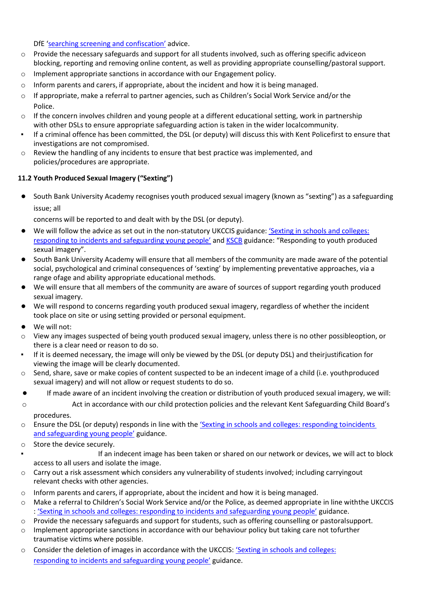DfE 'searching screening and [confiscation'](https://www.gov.uk/government/publications/searching-screening-and-confiscation) advice.

- $\circ$  Provide the necessary safeguards and support for all students involved, such as offering specific adviceon blocking, reporting and removing online content, as well as providing appropriate counselling/pastoral support.
- o Implement appropriate sanctions in accordance with our Engagement policy.
- $\circ$  Inform parents and carers, if appropriate, about the incident and how it is being managed.
- $\circ$  If appropriate, make a referral to partner agencies, such as Children's Social Work Service and/or the Police.
- $\circ$  If the concern involves children and young people at a different educational setting, work in partnership with other DSLs to ensure appropriate safeguarding action is taken in the wider localcommunity.
- If a criminal offence has been committed, the DSL (or deputy) will discuss this with Kent Policefirst to ensure that investigations are not compromised.
- $\circ$  Review the handling of any incidents to ensure that best practice was implemented, and policies/procedures are appropriate.

# **11.2 Youth Produced Sexual Imagery ("Sexting")**

**●** South Bank University Academy recognises youth produced sexual imagery (known as "sexting") as a safeguarding issue; all

concerns will be reported to and dealt with by the DSL (or deputy).

- We will follow the advice as set out in the non-statutory UKCCIS guidance: 'Sexting in [schools and](https://www.gov.uk/government/groups/uk-council-for-child-internet-safety-ukccis) colleges: [responding to incidents and safeguarding young people'](https://www.gov.uk/government/groups/uk-council-for-child-internet-safety-ukccis) and [KSCB](http://www.kscb.org.uk/guidance/online-safety) guidance: "Responding to youth produced sexual imagery".
- **●** South Bank University Academy will ensure that all members of the community are made aware of the potential social, psychological and criminal consequences of 'sexting' by implementing preventative approaches, via a range ofage and ability appropriate educational methods.
- **●** We will ensure that all members of the community are aware of sources of support regarding youth produced sexual imagery.
- **●** We will respond to concerns regarding youth produced sexual imagery, regardless of whether the incident took place on site or using setting provided or personal equipment.
- **●** We will not:
- o View any images suspected of being youth produced sexual imagery, unless there is no other possibleoption, or there is a clear need or reason to do so.
- If it is deemed necessary, the image will only be viewed by the DSL (or deputy DSL) and their justification for viewing the image will be clearly documented.
- o Send, share, save or make copies of content suspected to be an indecent image of a child (i.e. youthproduced sexual imagery) and will not allow or request students to do so.
- **●** If made aware of an incident involving the creation or distribution of youth produced sexual imagery, we will:
- o Act in accordance with our child protection policies and the relevant Kent Safeguarding Child Board's procedures.
- o Ensure the DSL (or deputy) responds in line with the ['Sexting in schools and colleges: responding to](https://www.gov.uk/government/groups/uk-council-for-child-internet-safety-ukccis)[incidents](https://www.gov.uk/government/groups/uk-council-for-child-internet-safety-ukccis) and [safeguarding](https://www.gov.uk/government/groups/uk-council-for-child-internet-safety-ukccis) young people' guidance.
- o Store the device securely.
	- If an indecent image has been taken or shared on our network or devices, we will act to block access to all users and isolate the image.
- o Carry out a risk assessment which considers any vulnerability of students involved; including carryingout relevant checks with other agencies.
- $\circ$  Inform parents and carers, if appropriate, about the incident and how it is being managed.
- o Make a referral to Children's Social Work Service and/or the Police, as deemed appropriate in line withthe UKCCIS : ['Sexting in schools and colleges: responding to incidents and safeguarding young people'](https://www.gov.uk/government/groups/uk-council-for-child-internet-safety-ukccis) guidance.
- Provide the necessary safeguards and support for students, such as offering counselling or pastoralsupport.
- $\circ$  Implement appropriate sanctions in accordance with our behaviour policy but taking care not tofurther traumatise victims where possible.
- o Consider the deletion of images in accordance with the UKCCIS: 'Sexting [in schools](https://www.gov.uk/government/groups/uk-council-for-child-internet-safety-ukccis) and colleges: responding to incidents and [safeguarding](https://www.gov.uk/government/groups/uk-council-for-child-internet-safety-ukccis) young people' guidance.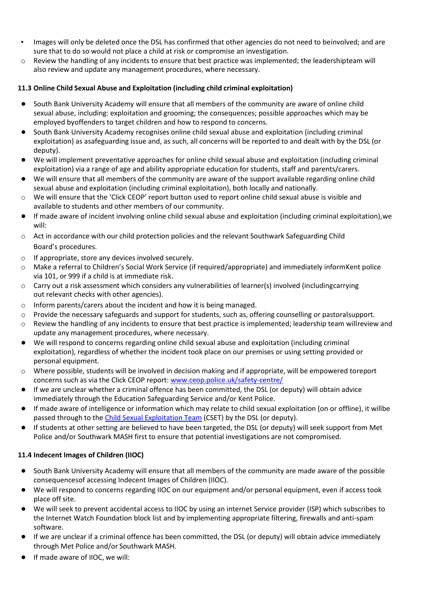- Images will only be deleted once the DSL has confirmed that other agencies do not need to beinvolved; and are sure that to do so would not place a child at risk or compromise an investigation.
- o Review the handling of any incidents to ensure that best practice was implemented; the leadershipteam will also review and update any management procedures, where necessary.

# **11.3 Online Child Sexual Abuse and Exploitation (including child criminal exploitation)**

- **●** South Bank University Academy will ensure that all members of the community are aware of online child sexual abuse, including: exploitation and grooming; the consequences; possible approaches which may be employed byoffenders to target children and how to respond to concerns.
- **●** South Bank University Academy recognises online child sexual abuse and exploitation (including criminal exploitation) as asafeguarding issue and, as such, all concerns will be reported to and dealt with by the DSL (or deputy).
- **●** We will implement preventative approaches for online child sexual abuse and exploitation (including criminal exploitation) via a range of age and ability appropriate education for students, staff and parents/carers.
- **●** We will ensure that all members of the community are aware of the support available regarding online child sexual abuse and exploitation (including criminal exploitation), both locally and nationally.
- o We will ensure that the 'Click CEOP' report button used to report online child sexual abuse is visible and available to students and other members of our community.
- **●** If made aware of incident involving online child sexual abuse and exploitation (including criminal exploitation),we will:
- o Act in accordance with our child protection policies and the relevant Southwark Safeguarding Child Board's procedures.
- o If appropriate, store any devices involved securely.
- o Make a referral to Children's Social Work Service (if required/appropriate) and immediately informKent police via 101, or 999 if a child is at immediate risk.
- $\circ$  Carry out a risk assessment which considers any vulnerabilities of learner(s) involved (includingcarrying out relevant checks with other agencies).
- o Inform parents/carers about the incident and how it is being managed.
- o Provide the necessary safeguards and support for students, such as, offering counselling or pastoralsupport.
- o Review the handling of any incidents to ensure that best practice is implemented; leadership team willreview and update any management procedures, where necessary.
- **●** We will respond to concerns regarding online child sexual abuse and exploitation (including criminal exploitation), regardless of whether the incident took place on our premises or using setting provided or personal equipment.
- o Where possible, students will be involved in decision making and if appropriate, will be empowered toreport concerns such as via the Click CEOP report: [www.ceop.police.uk/safety-centre/](http://www.ceop.police.uk/safety-centre/)
- **●** If we are unclear whether a criminal offence has been committed, the DSL (or deputy) will obtain advice immediately through the Education Safeguarding Service and/or Kent Police.
- **●** If made aware of intelligence or information which may relate to child sexual exploitation (on or offline), it willbe passed through to the Child Sexual [Exploitation](https://www.kent.police.uk/childabuse/) Team (CSET) by the DSL (or deputy).
- **●** If students at other setting are believed to have been targeted, the DSL (or deputy) will seek support from Met Police and/or Southwark MASH first to ensure that potential investigations are not compromised.

# **11.4 Indecent Images of Children (IIOC)**

- **●** South Bank University Academy will ensure that all members of the community are made aware of the possible consequencesof accessing Indecent Images of Children (IIOC).
- We will respond to concerns regarding IIOC on our equipment and/or personal equipment, even if access took place off site.
- **●** We will seek to prevent accidental access to IIOC by using an internet Service provider (ISP) which subscribes to the Internet Watch Foundation block list and by implementing appropriate filtering, firewalls and anti-spam software.
- **●** If we are unclear if a criminal offence has been committed, the DSL (or deputy) will obtain advice immediately through Met Police and/or Southwark MASH.
- If made aware of IIOC, we will: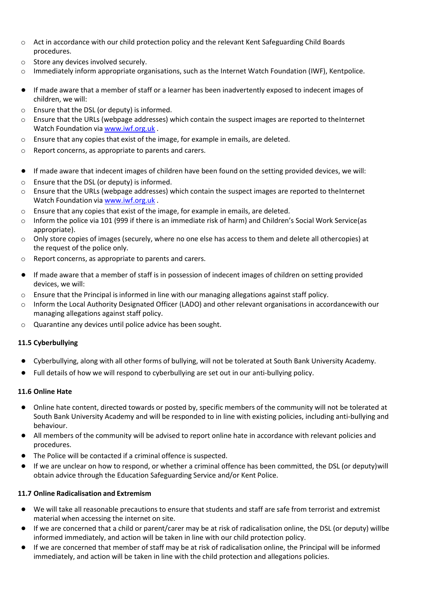- o Act in accordance with our child protection policy and the relevant Kent Safeguarding Child Boards procedures.
- o Store any devices involved securely.
- $\circ$  Immediately inform appropriate organisations, such as the Internet Watch Foundation (IWF), Kentpolice.
- If made aware that a member of staff or a learner has been inadvertently exposed to indecent images of children, we will:
- o Ensure that the DSL (or deputy) is informed.
- o Ensure that the URLs (webpage addresses) which contain the suspect images are reported to theInternet Watch Foundation via [www.iwf.org.uk](https://www.iwf.org.uk/).
- $\circ$  Ensure that any copies that exist of the image, for example in emails, are deleted.
- o Report concerns, as appropriate to parents and carers.
- **●** If made aware that indecent images of children have been found on the setting provided devices, we will:
- o Ensure that the DSL (or deputy) is informed.
- $\circ$  Ensure that the URLs (webpage addresses) which contain the suspect images are reported to theInternet Watch Foundation via [www.iwf.org.uk](https://www.iwf.org.uk/) .
- $\circ$  Ensure that any copies that exist of the image, for example in emails, are deleted.
- $\circ$  Inform the police via 101 (999 if there is an immediate risk of harm) and Children's Social Work Service (as appropriate).
- o Only store copies of images (securely, where no one else has access to them and delete all othercopies) at the request of the police only.
- o Report concerns, as appropriate to parents and carers.
- **●** If made aware that a member of staff is in possession of indecent images of children on setting provided devices, we will:
- $\circ$  Ensure that the Principal is informed in line with our managing allegations against staff policy.
- o Inform the Local Authority Designated Officer (LADO) and other relevant organisations in accordancewith our managing allegations against staff policy.
- o Quarantine any devices until police advice has been sought.

#### **11.5 Cyberbullying**

- **●** Cyberbullying, along with all other forms of bullying, will not be tolerated at South Bank University Academy.
- **●** Full details of how we will respond to cyberbullying are set out in our anti-bullying policy.

#### **11.6 Online Hate**

- **●** Online hate content, directed towards or posted by, specific members of the community will not be tolerated at South Bank University Academy and will be responded to in line with existing policies, including anti-bullying and behaviour.
- **●** All members of the community will be advised to report online hate in accordance with relevant policies and procedures.
- **●** The Police will be contacted if a criminal offence is suspected.
- **●** If we are unclear on how to respond, or whether a criminal offence has been committed, the DSL (or deputy)will obtain advice through the Education Safeguarding Service and/or Kent Police.

#### **11.7 Online Radicalisation and Extremism**

- **●** We will take all reasonable precautions to ensure that students and staff are safe from terrorist and extremist material when accessing the internet on site.
- **●** If we are concerned that a child or parent/carer may be at risk of radicalisation online, the DSL (or deputy) willbe informed immediately, and action will be taken in line with our child protection policy.
- **●** If we are concerned that member of staff may be at risk of radicalisation online, the Principal will be informed immediately, and action will be taken in line with the child protection and allegations policies.